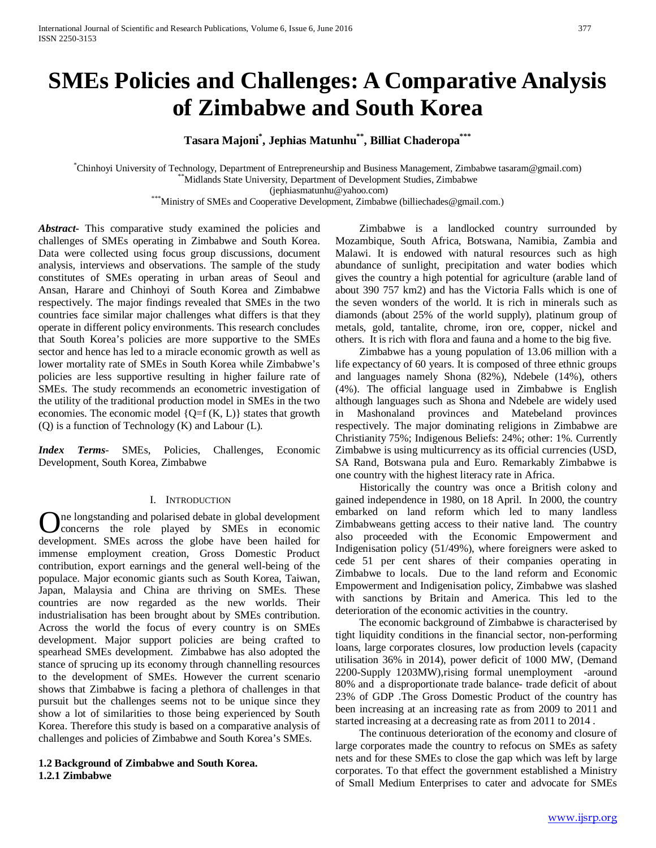# **SMEs Policies and Challenges: A Comparative Analysis of Zimbabwe and South Korea**

**Tasara Majoni\* , Jephias Matunhu\*\*, Billiat Chaderopa\*\*\***

\* Chinhoyi University of Technology, Department of Entrepreneurship and Business Management, Zimbabwe tasaram@gmail.com) \*\*Midlands State University, Department of Development Studies, Zimbabwe (jephiasmatunhu@yahoo.com) \*\*\*Ministry of SMEs and Cooperative Development, Zimbabwe (billiechades@gmail.com.)

*Abstract***-** This comparative study examined the policies and challenges of SMEs operating in Zimbabwe and South Korea. Data were collected using focus group discussions, document analysis, interviews and observations. The sample of the study constitutes of SMEs operating in urban areas of Seoul and Ansan, Harare and Chinhoyi of South Korea and Zimbabwe respectively. The major findings revealed that SMEs in the two countries face similar major challenges what differs is that they operate in different policy environments. This research concludes that South Korea's policies are more supportive to the SMEs sector and hence has led to a miracle economic growth as well as lower mortality rate of SMEs in South Korea while Zimbabwe's policies are less supportive resulting in higher failure rate of SMEs. The study recommends an econometric investigation of the utility of the traditional production model in SMEs in the two economies. The economic model  ${Q=f(K, L)}$  states that growth (Q) is a function of Technology (K) and Labour (L).

*Index Terms*- SMEs, Policies, Challenges, Economic Development, South Korea, Zimbabwe

# I. INTRODUCTION

ne longstanding and polarised debate in global development concerns the role played by SMEs in economic **C** concerns the role played by SMEs in economic development. SMEs across the globe have been hailed for immense employment creation, Gross Domestic Product contribution, export earnings and the general well-being of the populace. Major economic giants such as South Korea, Taiwan, Japan, Malaysia and China are thriving on SMEs. These countries are now regarded as the new worlds. Their industrialisation has been brought about by SMEs contribution. Across the world the focus of every country is on SMEs development. Major support policies are being crafted to spearhead SMEs development. Zimbabwe has also adopted the stance of sprucing up its economy through channelling resources to the development of SMEs. However the current scenario shows that Zimbabwe is facing a plethora of challenges in that pursuit but the challenges seems not to be unique since they show a lot of similarities to those being experienced by South Korea. Therefore this study is based on a comparative analysis of challenges and policies of Zimbabwe and South Korea's SMEs.

#### <span id="page-0-0"></span>**1.2 Background of Zimbabwe and South Korea. 1.2.1 Zimbabwe**

 Zimbabwe is a landlocked country surrounded by Mozambique, South Africa, Botswana, Namibia, Zambia and Malawi. It is endowed with natural resources such as high abundance of sunlight, precipitation and water bodies which gives the country a high potential for agriculture (arable land of about 390 757 km2) and has the Victoria Falls which is one of the seven wonders of the world. It is rich in minerals such as diamonds (about 25% of the world supply), platinum group of metals, gold, tantalite, chrome, iron ore, copper, nickel and others. It is rich with flora and fauna and a home to the big five.

 Zimbabwe has a young population of 13.06 million with a life expectancy of 60 years. It is composed of three ethnic groups and languages namely Shona (82%), Ndebele (14%), others (4%). The official language used in Zimbabwe is English although languages such as Shona and Ndebele are widely used in Mashonaland provinces and Matebeland provinces respectively. The major dominating religions in Zimbabwe are Christianity 75%; Indigenous Beliefs: 24%; other: 1%. Currently Zimbabwe is using multicurrency as its official currencies (USD, SA Rand, Botswana pula and Euro. Remarkably Zimbabwe is one country with the highest literacy rate in Africa.

 Historically the country was once a British colony and gained independence in 1980, on 18 April. In 2000, the country embarked on land reform which led to many landless Zimbabweans getting access to their native land. The country also proceeded with the Economic Empowerment and Indigenisation policy (51/49%), where foreigners were asked to cede 51 per cent shares of their companies operating in Zimbabwe to locals. Due to the land reform and Economic Empowerment and Indigenisation policy, Zimbabwe was slashed with sanctions by Britain and America. This led to the deterioration of the economic activities in the country.

 The economic background of Zimbabwe is characterised by tight liquidity conditions in the financial sector, non-performing loans, large corporates closures, low production levels (capacity utilisation 36% in 2014), power deficit of 1000 MW, (Demand 2200-Supply 1203MW),rising formal unemployment -around 80% and a disproportionate trade balance- trade deficit of about 23% of GDP .The Gross Domestic Product of the country has been increasing at an increasing rate as from 2009 to 2011 and started increasing at a decreasing rate as from 2011 to 2014 .

 The continuous deterioration of the economy and closure of large corporates made the country to refocus on SMEs as safety nets and for these SMEs to close the gap which was left by large corporates. To that effect the government established a Ministry of Small Medium Enterprises to cater and advocate for SMEs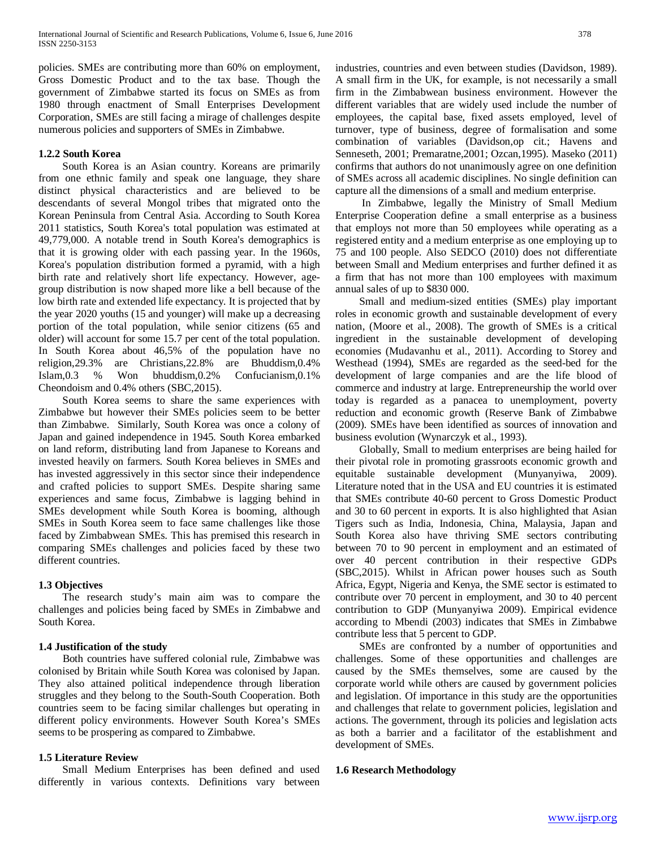policies. SMEs are contributing more than 60% on employment, Gross Domestic Product and to the tax base. Though the government of Zimbabwe started its focus on SMEs as from 1980 through enactment of Small Enterprises Development Corporation, SMEs are still facing a mirage of challenges despite numerous policies and supporters of SMEs in Zimbabwe.

# **1.2.2 South Korea**

 South Korea is an Asian country. Koreans are primarily from one ethnic family and speak one language, they share distinct physical characteristics and are believed to be descendants of several Mongol tribes that migrated onto the Korean Peninsula from Central Asia. According to South Korea 2011 statistics, South Korea's total population was estimated at 49,779,000. A notable trend in South Korea's demographics is that it is growing older with each passing year. In the 1960s, Korea's population distribution formed a pyramid, with a high birth rate and relatively short life expectancy. However, agegroup distribution is now shaped more like a bell because of the low birth rate and extended life expectancy. It is projected that by the year 2020 youths (15 and younger) will make up a decreasing portion of the total population, while senior citizens (65 and older) will account for some 15.7 per cent of the total population. In South Korea about 46,5% of the population have no religion,29.3% are Christians,22.8% are Bhuddism,0.4% Islam,0.3 % Won bhuddism,0.2% Confucianism,0.1% Cheondoism and 0.4% others (SBC,2015).

 South Korea seems to share the same experiences with Zimbabwe but however their SMEs policies seem to be better than Zimbabwe. Similarly, South Korea was once a colony of Japan and gained independence in 1945. South Korea embarked on land reform, distributing land from Japanese to Koreans and invested heavily on farmers. South Korea believes in SMEs and has invested aggressively in this sector since their independence and crafted policies to support SMEs. Despite sharing same experiences and same focus, Zimbabwe is lagging behind in SMEs development while South Korea is booming, although SMEs in South Korea seem to face same challenges like those faced by Zimbabwean SMEs. This has premised this research in comparing SMEs challenges and policies faced by these two different countries.

# **1.3 Objectives**

 The research study's main aim was to compare the challenges and policies being faced by SMEs in Zimbabwe and South Korea.

# **1.4 Justification of the study**

 Both countries have suffered colonial rule, Zimbabwe was colonised by Britain while South Korea was colonised by Japan. They also attained political independence through liberation struggles and they belong to the South-South Cooperation. Both countries seem to be facing similar challenges but operating in different policy environments. However South Korea's SMEs seems to be prospering as compared to Zimbabwe.

# **1.5 Literature Review**

 Small Medium Enterprises has been defined and used differently in various contexts. Definitions vary between

industries, countries and even between studies (Davidson, 1989). A small firm in the UK, for example, is not necessarily a small firm in the Zimbabwean business environment. However the different variables that are widely used include the number of employees, the capital base, fixed assets employed, level of turnover, type of business, degree of formalisation and some combination of variables (Davidson,op cit.; Havens and Senneseth, 2001; Premaratne,2001; Ozcan,1995). Maseko (2011) confirms that authors do not unanimously agree on one definition of SMEs across all academic disciplines. No single definition can capture all the dimensions of a small and medium enterprise.

 In Zimbabwe, legally the Ministry of Small Medium Enterprise Cooperation define a small enterprise as a business that employs not more than 50 employees while operating as a registered entity and a medium enterprise as one employing up to 75 and 100 people. Also SEDCO (2010) does not differentiate between Small and Medium enterprises and further defined it as a firm that has not more than 100 employees with maximum annual sales of up to \$830 000.

 Small and medium-sized entities (SMEs) play important roles in economic growth and sustainable development of every nation, (Moore et al., 2008). The growth of SMEs is a critical ingredient in the sustainable development of developing economies (Mudavanhu et al., 2011). According to Storey and Westhead (1994), SMEs are regarded as the seed-bed for the development of large companies and are the life blood of commerce and industry at large. Entrepreneurship the world over today is regarded as a panacea to unemployment, poverty reduction and economic growth (Reserve Bank of Zimbabwe (2009). SMEs have been identified as sources of innovation and business evolution (Wynarczyk et al., 1993).

 Globally, Small to medium enterprises are being hailed for their pivotal role in promoting grassroots economic growth and equitable sustainable development (Munyanyiwa, 2009). Literature noted that in the USA and EU countries it is estimated that SMEs contribute 40-60 percent to Gross Domestic Product and 30 to 60 percent in exports. It is also highlighted that Asian Tigers such as India, Indonesia, China, Malaysia, Japan and South Korea also have thriving SME sectors contributing between 70 to 90 percent in employment and an estimated of over 40 percent contribution in their respective GDPs (SBC,2015). Whilst in African power houses such as South Africa, Egypt, Nigeria and Kenya, the SME sector is estimated to contribute over 70 percent in employment, and 30 to 40 percent contribution to GDP (Munyanyiwa 2009). Empirical evidence according to Mbendi (2003) indicates that SMEs in Zimbabwe contribute less that 5 percent to GDP.

 SMEs are confronted by a number of opportunities and challenges. Some of these opportunities and challenges are caused by the SMEs themselves, some are caused by the corporate world while others are caused by government policies and legislation. Of importance in this study are the opportunities and challenges that relate to government policies, legislation and actions. The government, through its policies and legislation acts as both a barrier and a facilitator of the establishment and development of SMEs.

# **1.6 Research Methodology**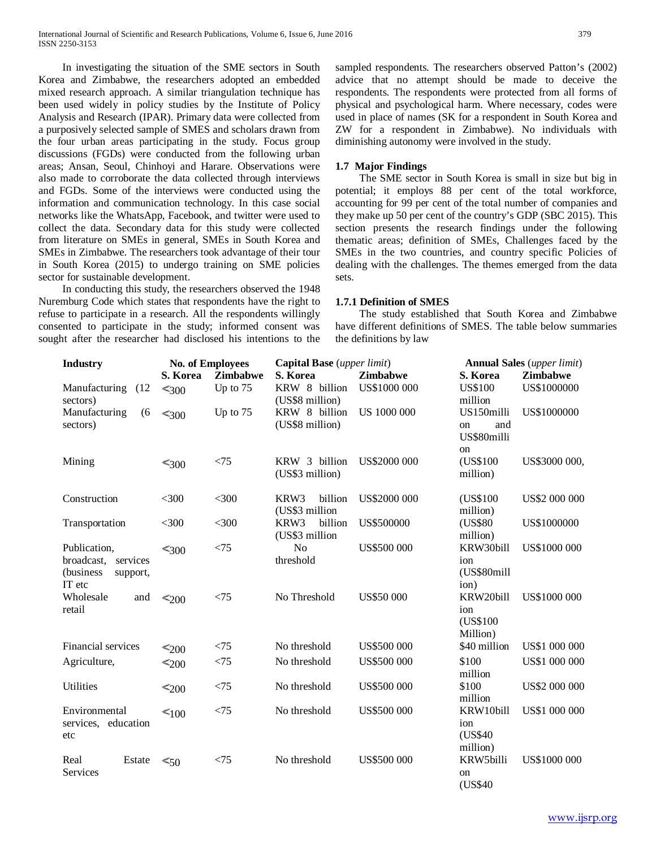In investigating the situation of the SME sectors in South Korea and Zimbabwe, the researchers adopted an embedded mixed research approach. A similar triangulation technique has been used widely in policy studies by the Institute of Policy Analysis and Research (IPAR). Primary data were collected from a purposively selected sample of SMES and scholars drawn from the four urban areas participating in the study. Focus group discussions (FGDs) were conducted from the following urban areas; Ansan, Seoul, Chinhoyi and Harare. Observations were also made to corroborate the data collected through interviews and FGDs. Some of the interviews were conducted using the information and communication technology. In this case social networks like the WhatsApp, Facebook, and twitter were used to collect the data. Secondary data for this study were collected from literature on SMEs in general, SMEs in South Korea and SMEs in Zimbabwe. The researchers took advantage of their tour in South Korea (2015) to undergo training on SME policies sector for sustainable development.

 In conducting this study, the researchers observed the 1948 Nuremburg Code which states that respondents have the right to refuse to participate in a research. All the respondents willingly consented to participate in the study; informed consent was sought after the researcher had disclosed his intentions to the sampled respondents. The researchers observed Patton's (2002) advice that no attempt should be made to deceive the respondents. The respondents were protected from all forms of physical and psychological harm. Where necessary, codes were used in place of names (SK for a respondent in South Korea and ZW for a respondent in Zimbabwe). No individuals with diminishing autonomy were involved in the study.

#### **1.7 Major Findings**

 The SME sector in South Korea is small in size but big in potential; it employs 88 per cent of the total workforce, accounting for 99 per cent of the total number of companies and they make up 50 per cent of the country's GDP (SBC 2015). This section presents the research findings under the following thematic areas; definition of SMEs, Challenges faced by the SMEs in the two countries, and country specific Policies of dealing with the challenges. The themes emerged from the data sets.

#### **1.7.1 Definition of SMES**

 The study established that South Korea and Zimbabwe have different definitions of SMES. The table below summaries the definitions by law

| <b>Industry</b>                                                           | <b>No. of Employees</b> |                 | Capital Base (upper limit)        |                     | <b>Annual Sales</b> (upper limit)            |                     |
|---------------------------------------------------------------------------|-------------------------|-----------------|-----------------------------------|---------------------|----------------------------------------------|---------------------|
|                                                                           | S. Korea                | <b>Zimbabwe</b> | S. Korea                          | <b>Zimbabwe</b>     | <b>Zimbabwe</b><br>S. Korea                  |                     |
| Manufacturing<br>(12)<br>sectors)                                         | $\leq 300$              | Up to 75        | KRW 8 billion<br>(US\$8 million)  | US\$1000 000        | <b>US\$100</b><br>million                    | US\$1000000         |
| Manufacturing<br>(6)<br>sectors)                                          | $\leq 300$              | Up to 75        | KRW 8 billion<br>(US\$8 million)  | <b>US 1000 000</b>  | US150milli<br>and<br>on<br>US\$80milli<br>on | US\$1000000         |
| Mining                                                                    | $\leq 300$              | < 75            | KRW 3 billion<br>(US\$3 million)  | <b>US\$2000 000</b> | (US\$100<br>million)                         | US\$3000 000,       |
| Construction                                                              | $<$ 300                 | $<$ 300         | KRW3<br>billion<br>(US\$3 million | <b>US\$2000 000</b> | (US\$100)<br>million)                        | US\$2 000 000       |
| Transportation                                                            | $<$ 300                 | $<$ 300         | KRW3<br>billion<br>(US\$3 million | <b>US\$500000</b>   | (US\$80<br>million)                          | US\$1000000         |
| Publication,<br>broadcast,<br>services<br>(business<br>support,<br>IT etc | $\leq 300$              | < 75            | N <sub>o</sub><br>threshold       | <b>US\$500 000</b>  | KRW30bill<br>ion<br>(US\$80mill<br>ion)      | <b>US\$1000 000</b> |
| Wholesale<br>and<br>retail                                                | $\leq 200$              | < 75            | No Threshold                      | <b>US\$50 000</b>   | KRW20bill<br>ion<br>(US\$100)<br>Million)    | US\$1000 000        |
| Financial services                                                        | $\leq 200$              | < 75            | No threshold                      | <b>US\$500 000</b>  | \$40 million                                 | US\$1 000 000       |
| Agriculture,                                                              | $\leq_{200}$            | < 75            | No threshold                      | <b>US\$500 000</b>  | \$100<br>million                             | US\$1 000 000       |
| <b>Utilities</b>                                                          | $\leq_{200}$            | < 75            | No threshold                      | <b>US\$500 000</b>  | \$100<br>million                             | US\$2 000 000       |
| Environmental<br>services, education<br>etc                               | $\leq 100$              | < 75            | No threshold                      | <b>US\$500 000</b>  | KRW10bill<br>ion<br>(US\$40)<br>million)     | US\$1 000 000       |
| Real<br>Estate<br>Services                                                | $\leq 50$               | < 75            | No threshold                      | <b>US\$500 000</b>  | KRW5billi<br>on<br>(US\$40)                  | US\$1000 000        |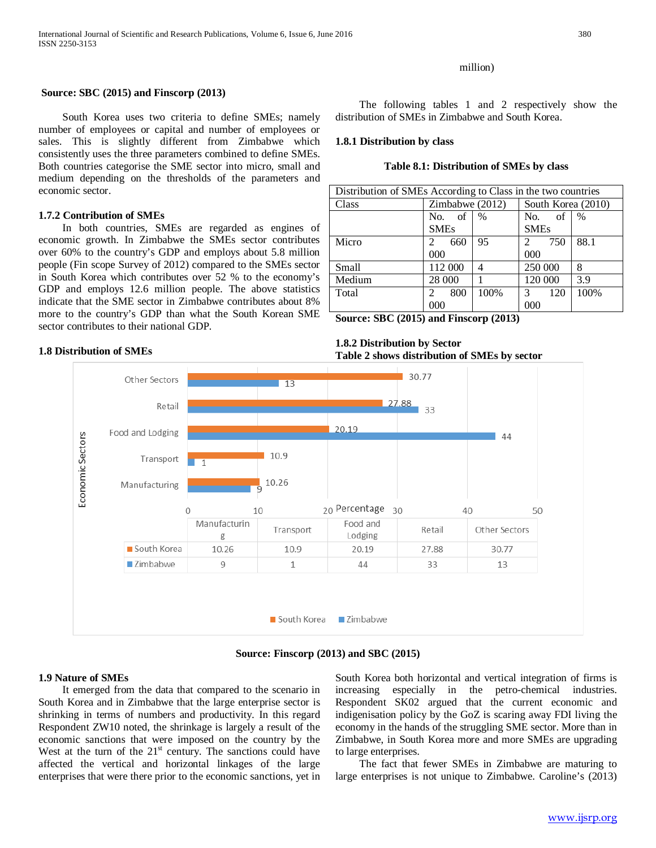South Korea uses two criteria to define SMEs; namely number of employees or capital and number of employees or sales. This is slightly different from Zimbabwe which consistently uses the three parameters combined to define SMEs. Both countries categorise the SME sector into micro, small and medium depending on the thresholds of the parameters and

 In both countries, SMEs are regarded as engines of economic growth. In Zimbabwe the SMEs sector contributes over 60% to the country's GDP and employs about 5.8 million people (Fin scope Survey of 2012) compared to the SMEs sector in South Korea which contributes over 52 % to the economy's GDP and employs 12.6 million people. The above statistics indicate that the SME sector in Zimbabwe contributes about 8% more to the country's GDP than what the South Korean SME

**Source: SBC (2015) and Finscorp (2013)**

#### million)

 The following tables 1 and 2 respectively show the distribution of SMEs in Zimbabwe and South Korea.

#### **1.8.1 Distribution by class**

#### **Table 8.1: Distribution of SMEs by class**

| Distribution of SMEs According to Class in the two countries |                 |               |                    |               |  |
|--------------------------------------------------------------|-----------------|---------------|--------------------|---------------|--|
| Class                                                        | Zimbabwe (2012) |               | South Korea (2010) |               |  |
|                                                              | of<br>No.       | $\frac{0}{0}$ | No.<br>-of         | $\frac{0}{0}$ |  |
|                                                              | <b>SMEs</b>     |               | <b>SMEs</b>        |               |  |
| Micro                                                        | 660<br>2        | 95            | 750<br>2           | 88.1          |  |
|                                                              | $000 \,$        |               | 000                |               |  |
| Small                                                        | 112 000         | 4             | 250 000            | 8             |  |
| Medium                                                       | 28 000          |               | 120 000            | 3.9           |  |
| Total                                                        | 800<br>2        | 100%          | 120<br>3           | 100%          |  |
|                                                              | 000             |               | 000                |               |  |

**Source: SBC (2015) and Finscorp (2013)**

#### **1.8 Distribution of SMEs**

sector contributes to their national GDP.

**1.7.2 Contribution of SMEs**

economic sector.

**1.8.2 Distribution by Sector Table 2 shows distribution of SMEs by sector**



**Source: Finscorp (2013) and SBC (2015)**

#### **1.9 Nature of SMEs**

 It emerged from the data that compared to the scenario in South Korea and in Zimbabwe that the large enterprise sector is shrinking in terms of numbers and productivity. In this regard Respondent ZW10 noted, the shrinkage is largely a result of the economic sanctions that were imposed on the country by the West at the turn of the  $21<sup>st</sup>$  century. The sanctions could have affected the vertical and horizontal linkages of the large enterprises that were there prior to the economic sanctions, yet in South Korea both horizontal and vertical integration of firms is increasing especially in the petro-chemical industries. Respondent SK02 argued that the current economic and indigenisation policy by the GoZ is scaring away FDI living the economy in the hands of the struggling SME sector. More than in Zimbabwe, in South Korea more and more SMEs are upgrading to large enterprises.

 The fact that fewer SMEs in Zimbabwe are maturing to large enterprises is not unique to Zimbabwe. Caroline's (2013)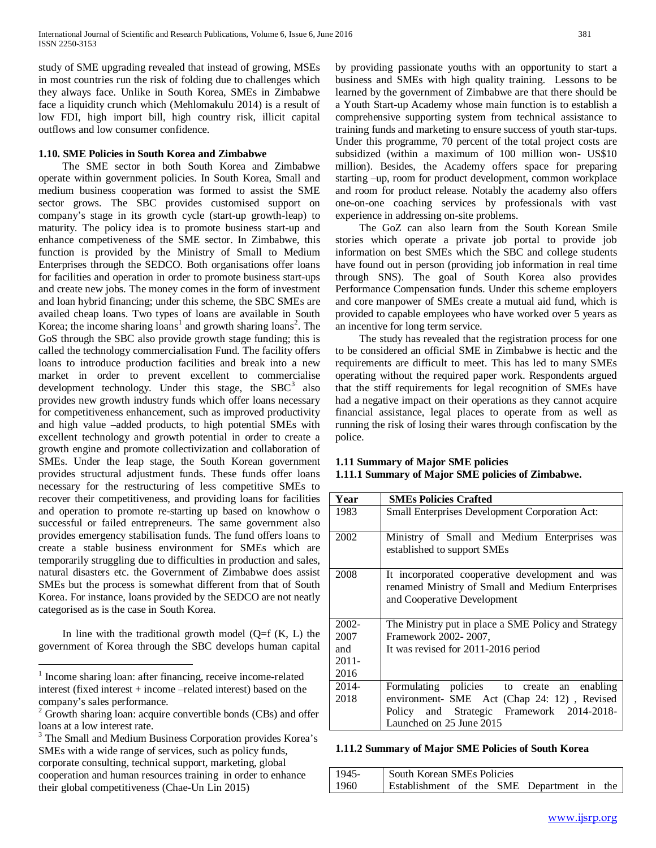study of SME upgrading revealed that instead of growing, MSEs in most countries run the risk of folding due to challenges which they always face. Unlike in South Korea, SMEs in Zimbabwe face a liquidity crunch which (Mehlomakulu 2014) is a result of low FDI, high import bill, high country risk, illicit capital outflows and low consumer confidence.

# **1.10. SME Policies in South Korea and Zimbabwe**

 The SME sector in both South Korea and Zimbabwe operate within government policies. In South Korea, Small and medium business cooperation was formed to assist the SME sector grows. The SBC provides customised support on company's stage in its growth cycle (start-up growth-leap) to maturity. The policy idea is to promote business start-up and enhance competiveness of the SME sector. In Zimbabwe, this function is provided by the Ministry of Small to Medium Enterprises through the SEDCO. Both organisations offer loans for facilities and operation in order to promote business start-ups and create new jobs. The money comes in the form of investment and loan hybrid financing; under this scheme, the SBC SMEs are availed cheap loans. Two types of loans are available in South Korea; the income sharing loans<sup>[1](#page-0-0)</sup> and growth sharing loans<sup>[2](#page-4-0)</sup>. The GoS through the SBC also provide growth stage funding; this is called the technology commercialisation Fund. The facility offers loans to introduce production facilities and break into a new market in order to prevent excellent to commercialise development technology. Under this stage, the  $SBC<sup>3</sup>$  $SBC<sup>3</sup>$  $SBC<sup>3</sup>$  also provides new growth industry funds which offer loans necessary for competitiveness enhancement, such as improved productivity and high value –added products, to high potential SMEs with excellent technology and growth potential in order to create a growth engine and promote collectivization and collaboration of SMEs. Under the leap stage, the South Korean government provides structural adjustment funds. These funds offer loans necessary for the restructuring of less competitive SMEs to recover their competitiveness, and providing loans for facilities and operation to promote re-starting up based on knowhow o successful or failed entrepreneurs. The same government also provides emergency stabilisation funds. The fund offers loans to create a stable business environment for SMEs which are temporarily struggling due to difficulties in production and sales, natural disasters etc. the Government of Zimbabwe does assist SMEs but the process is somewhat different from that of South Korea. For instance, loans provided by the SEDCO are not neatly categorised as is the case in South Korea.

In line with the traditional growth model  $(Q=f(K, L))$  the government of Korea through the SBC develops human capital by providing passionate youths with an opportunity to start a business and SMEs with high quality training. Lessons to be learned by the government of Zimbabwe are that there should be a Youth Start-up Academy whose main function is to establish a comprehensive supporting system from technical assistance to training funds and marketing to ensure success of youth star-tups. Under this programme, 70 percent of the total project costs are subsidized (within a maximum of 100 million won- US\$10 million). Besides, the Academy offers space for preparing starting –up, room for product development, common workplace and room for product release. Notably the academy also offers one-on-one coaching services by professionals with vast experience in addressing on-site problems.

 The GoZ can also learn from the South Korean Smile stories which operate a private job portal to provide job information on best SMEs which the SBC and college students have found out in person (providing job information in real time through SNS). The goal of South Korea also provides Performance Compensation funds. Under this scheme employers and core manpower of SMEs create a mutual aid fund, which is provided to capable employees who have worked over 5 years as an incentive for long term service.

 The study has revealed that the registration process for one to be considered an official SME in Zimbabwe is hectic and the requirements are difficult to meet. This has led to many SMEs operating without the required paper work. Respondents argued that the stiff requirements for legal recognition of SMEs have had a negative impact on their operations as they cannot acquire financial assistance, legal places to operate from as well as running the risk of losing their wares through confiscation by the police.

# **1.11 Summary of Major SME policies**

# **1.11.1 Summary of Major SME policies of Zimbabwe.**

| Year     | <b>SMEs Policies Crafted</b>                                                                                                       |  |  |  |  |
|----------|------------------------------------------------------------------------------------------------------------------------------------|--|--|--|--|
| 1983     | <b>Small Enterprises Development Corporation Act:</b>                                                                              |  |  |  |  |
| 2002     | Ministry of Small and Medium Enterprises was<br>established to support SMEs                                                        |  |  |  |  |
| 2008     | It incorporated cooperative development and was<br>renamed Ministry of Small and Medium Enterprises<br>and Cooperative Development |  |  |  |  |
| 2002-    | The Ministry put in place a SME Policy and Strategy                                                                                |  |  |  |  |
| 2007     | Framework 2002-2007,                                                                                                               |  |  |  |  |
| and      | It was revised for 2011-2016 period                                                                                                |  |  |  |  |
| $2011 -$ |                                                                                                                                    |  |  |  |  |
| 2016     |                                                                                                                                    |  |  |  |  |
| 2014-    | Formulating policies to create an<br>enabling                                                                                      |  |  |  |  |
| 2018     | environment- SME Act (Chap 24: 12), Revised                                                                                        |  |  |  |  |
|          | Policy and Strategic Framework 2014-2018-                                                                                          |  |  |  |  |
|          | Launched on 25 June 2015                                                                                                           |  |  |  |  |

#### **1.11.2 Summary of Major SME Policies of South Korea**

| $1945 -$ | South Korean SMEs Policies                 |  |  |  |
|----------|--------------------------------------------|--|--|--|
| 1960     | Establishment of the SME Department in the |  |  |  |

<sup>&</sup>lt;sup>1</sup> Income sharing loan: after financing, receive income-related interest (fixed interest + income –related interest) based on the company's sales performance.<br><sup>2</sup> Growth sharing loan: acquire convertible bonds (CBs) and offer

<span id="page-4-0"></span>loans at a low interest rate.

<span id="page-4-1"></span><sup>&</sup>lt;sup>3</sup> The Small and Medium Business Corporation provides Korea's SMEs with a wide range of services, such as policy funds, corporate consulting, technical support, marketing, global cooperation and human resources training in order to enhance their global competitiveness (Chae-Un Lin 2015)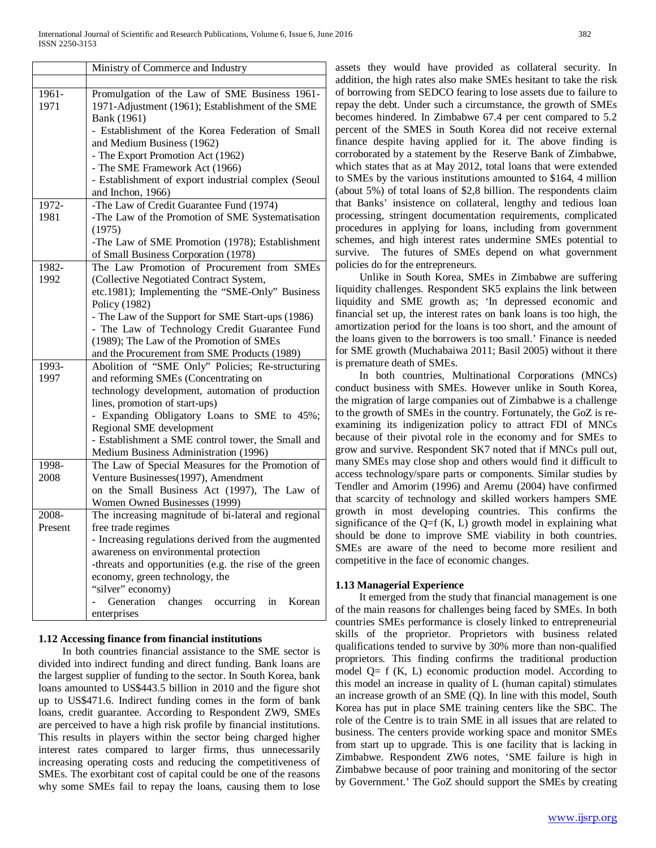|               | Ministry of Commerce and Industry                                                                                |
|---------------|------------------------------------------------------------------------------------------------------------------|
|               |                                                                                                                  |
| 1961-<br>1971 | Promulgation of the Law of SME Business 1961-<br>1971-Adjustment (1961); Establishment of the SME<br>Bank (1961) |
|               | - Establishment of the Korea Federation of Small<br>and Medium Business (1962)                                   |
|               | - The Export Promotion Act (1962)                                                                                |
|               | - The SME Framework Act (1966)                                                                                   |
|               | - Establishment of export industrial complex (Seoul<br>and Inchon, 1966)                                         |
| 1972-         | -The Law of Credit Guarantee Fund (1974)                                                                         |
| 1981          | -The Law of the Promotion of SME Systematisation<br>(1975)                                                       |
|               | -The Law of SME Promotion (1978); Establishment                                                                  |
|               | of Small Business Corporation (1978)                                                                             |
| 1982-         | The Law Promotion of Procurement from SMEs                                                                       |
| 1992          | (Collective Negotiated Contract System,                                                                          |
|               | etc.1981); Implementing the "SME-Only" Business                                                                  |
|               | Policy (1982)                                                                                                    |
|               | - The Law of the Support for SME Start-ups (1986)                                                                |
|               | - The Law of Technology Credit Guarantee Fund                                                                    |
|               | (1989); The Law of the Promotion of SMEs                                                                         |
|               | and the Procurement from SME Products (1989)                                                                     |
| 1993-         | Abolition of "SME Only" Policies; Re-structuring                                                                 |
| 1997          | and reforming SMEs (Concentrating on<br>technology development, automation of production                         |
|               | lines, promotion of start-ups)                                                                                   |
|               | - Expanding Obligatory Loans to SME to 45%;                                                                      |
|               | Regional SME development                                                                                         |
|               | - Establishment a SME control tower, the Small and                                                               |
|               | Medium Business Administration (1996)                                                                            |
| 1998-         | The Law of Special Measures for the Promotion of                                                                 |
| 2008          | Venture Businesses(1997), Amendment                                                                              |
|               | on the Small Business Act (1997), The Law of                                                                     |
|               | Women Owned Businesses (1999)                                                                                    |
| 2008-         | The increasing magnitude of bi-lateral and regional                                                              |
| Present       | free trade regimes                                                                                               |
|               | - Increasing regulations derived from the augmented                                                              |
|               | awareness on environmental protection                                                                            |
|               | -threats and opportunities (e.g. the rise of the green                                                           |
|               | economy, green technology, the                                                                                   |
|               | "silver" economy)<br>Generation changes occurring in<br>Korean                                                   |
|               | enterprises                                                                                                      |
|               |                                                                                                                  |

# **1.12 Accessing finance from financial institutions**

 In both countries financial assistance to the SME sector is divided into indirect funding and direct funding. Bank loans are the largest supplier of funding to the sector. In South Korea, bank loans amounted to US\$443.5 billion in 2010 and the figure shot up to US\$471.6. Indirect funding comes in the form of bank loans, credit guarantee. According to Respondent ZW9, SMEs are perceived to have a high risk profile by financial institutions. This results in players within the sector being charged higher interest rates compared to larger firms, thus unnecessarily increasing operating costs and reducing the competitiveness of SMEs. The exorbitant cost of capital could be one of the reasons why some SMEs fail to repay the loans, causing them to lose

assets they would have provided as collateral security. In addition, the high rates also make SMEs hesitant to take the risk of borrowing from SEDCO fearing to lose assets due to failure to repay the debt. Under such a circumstance, the growth of SMEs becomes hindered. In Zimbabwe 67.4 per cent compared to 5.2 percent of the SMES in South Korea did not receive external finance despite having applied for it. The above finding is corroborated by a statement by the Reserve Bank of Zimbabwe, which states that as at May 2012, total loans that were extended to SMEs by the various institutions amounted to \$164, 4 million (about 5%) of total loans of \$2,8 billion. The respondents claim that Banks' insistence on collateral, lengthy and tedious loan processing, stringent documentation requirements, complicated procedures in applying for loans, including from government schemes, and high interest rates undermine SMEs potential to survive. The futures of SMEs depend on what government policies do for the entrepreneurs.

 Unlike in South Korea, SMEs in Zimbabwe are suffering liquidity challenges. Respondent SK5 explains the link between liquidity and SME growth as; 'In depressed economic and financial set up, the interest rates on bank loans is too high, the amortization period for the loans is too short, and the amount of the loans given to the borrowers is too small.' Finance is needed for SME growth (Muchabaiwa 2011; Basil 2005) without it there is premature death of SMEs.

 In both countries, Multinational Corporations (MNCs) conduct business with SMEs. However unlike in South Korea, the migration of large companies out of Zimbabwe is a challenge to the growth of SMEs in the country. Fortunately, the GoZ is reexamining its indigenization policy to attract FDI of MNCs because of their pivotal role in the economy and for SMEs to grow and survive. Respondent SK7 noted that if MNCs pull out, many SMEs may close shop and others would find it difficult to access technology/spare parts or components. Similar studies by Tendler and Amorim (1996) and Aremu (2004) have confirmed that scarcity of technology and skilled workers hampers SME growth in most developing countries. This confirms the significance of the  $Q=f(K, L)$  growth model in explaining what should be done to improve SME viability in both countries. SMEs are aware of the need to become more resilient and competitive in the face of economic changes.

# **1.13 Managerial Experience**

 It emerged from the study that financial management is one of the main reasons for challenges being faced by SMEs. In both countries SMEs performance is closely linked to entrepreneurial skills of the proprietor. Proprietors with business related qualifications tended to survive by 30% more than non-qualified proprietors. This finding confirms the traditional production model  $Q= f(K, L)$  economic production model. According to this model an increase in quality of L (human capital) stimulates an increase growth of an SME (Q). In line with this model, South Korea has put in place SME training centers like the SBC. The role of the Centre is to train SME in all issues that are related to business. The centers provide working space and monitor SMEs from start up to upgrade. This is one facility that is lacking in Zimbabwe. Respondent ZW6 notes, 'SME failure is high in Zimbabwe because of poor training and monitoring of the sector by Government.' The GoZ should support the SMEs by creating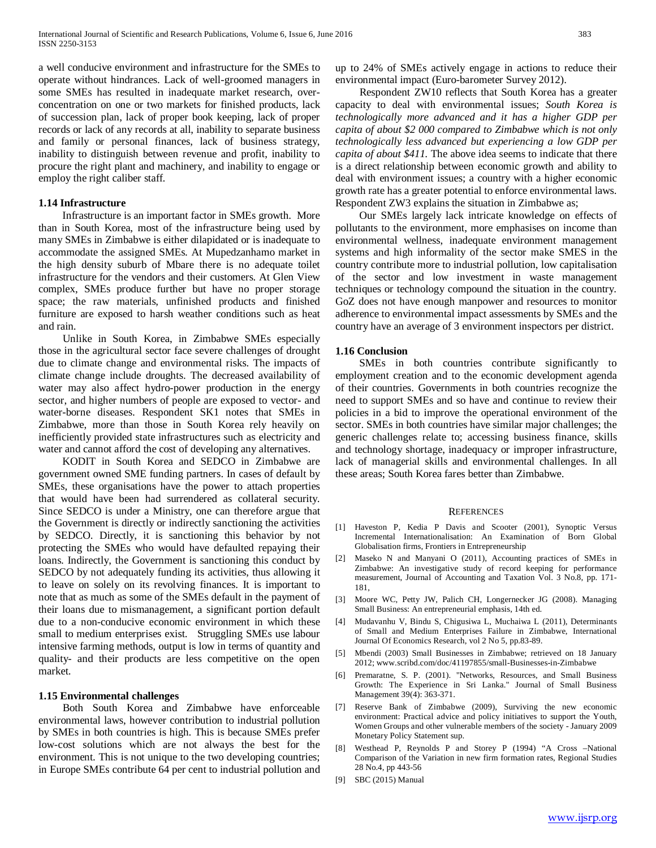a well conducive environment and infrastructure for the SMEs to operate without hindrances. Lack of well-groomed managers in some SMEs has resulted in inadequate market research, overconcentration on one or two markets for finished products, lack of succession plan, lack of proper book keeping, lack of proper records or lack of any records at all, inability to separate business and family or personal finances, lack of business strategy, inability to distinguish between revenue and profit, inability to procure the right plant and machinery, and inability to engage or employ the right caliber staff.

#### **1.14 Infrastructure**

 Infrastructure is an important factor in SMEs growth. More than in South Korea, most of the infrastructure being used by many SMEs in Zimbabwe is either dilapidated or is inadequate to accommodate the assigned SMEs. At Mupedzanhamo market in the high density suburb of Mbare there is no adequate toilet infrastructure for the vendors and their customers. At Glen View complex, SMEs produce further but have no proper storage space; the raw materials, unfinished products and finished furniture are exposed to harsh weather conditions such as heat and rain.

 Unlike in South Korea, in Zimbabwe SMEs especially those in the agricultural sector face severe challenges of drought due to climate change and environmental risks. The impacts of climate change include droughts. The decreased availability of water may also affect hydro-power production in the energy sector, and higher numbers of people are exposed to vector- and water-borne diseases. Respondent SK1 notes that SMEs in Zimbabwe, more than those in South Korea rely heavily on inefficiently provided state infrastructures such as electricity and water and cannot afford the cost of developing any alternatives.

 KODIT in South Korea and SEDCO in Zimbabwe are government owned SME funding partners. In cases of default by SMEs, these organisations have the power to attach properties that would have been had surrendered as collateral security. Since SEDCO is under a Ministry, one can therefore argue that the Government is directly or indirectly sanctioning the activities by SEDCO. Directly, it is sanctioning this behavior by not protecting the SMEs who would have defaulted repaying their loans. Indirectly, the Government is sanctioning this conduct by SEDCO by not adequately funding its activities, thus allowing it to leave on solely on its revolving finances. It is important to note that as much as some of the SMEs default in the payment of their loans due to mismanagement, a significant portion default due to a non-conducive economic environment in which these small to medium enterprises exist. Struggling SMEs use labour intensive farming methods, output is low in terms of quantity and quality- and their products are less competitive on the open market.

#### **1.15 Environmental challenges**

 Both South Korea and Zimbabwe have enforceable environmental laws, however contribution to industrial pollution by SMEs in both countries is high. This is because SMEs prefer low-cost solutions which are not always the best for the environment. This is not unique to the two developing countries; in Europe SMEs contribute 64 per cent to industrial pollution and up to 24% of SMEs actively engage in actions to reduce their environmental impact (Euro-barometer Survey 2012).

 Respondent ZW10 reflects that South Korea has a greater capacity to deal with environmental issues; *South Korea is technologically more advanced and it has a higher GDP per capita of about \$2 000 compared to Zimbabwe which is not only technologically less advanced but experiencing a low GDP per capita of about \$411.* The above idea seems to indicate that there is a direct relationship between economic growth and ability to deal with environment issues; a country with a higher economic growth rate has a greater potential to enforce environmental laws. Respondent ZW3 explains the situation in Zimbabwe as;

 Our SMEs largely lack intricate knowledge on effects of pollutants to the environment, more emphasises on income than environmental wellness, inadequate environment management systems and high informality of the sector make SMES in the country contribute more to industrial pollution, low capitalisation of the sector and low investment in waste management techniques or technology compound the situation in the country. GoZ does not have enough manpower and resources to monitor adherence to environmental impact assessments by SMEs and the country have an average of 3 environment inspectors per district.

#### **1.16 Conclusion**

 SMEs in both countries contribute significantly to employment creation and to the economic development agenda of their countries. Governments in both countries recognize the need to support SMEs and so have and continue to review their policies in a bid to improve the operational environment of the sector. SMEs in both countries have similar major challenges; the generic challenges relate to; accessing business finance, skills and technology shortage, inadequacy or improper infrastructure, lack of managerial skills and environmental challenges. In all these areas; South Korea fares better than Zimbabwe.

#### **REFERENCES**

- [1] Haveston P, Kedia P Davis and Scooter (2001), Synoptic Versus Incremental Internationalisation: An Examination of Born Global Globalisation firms, Frontiers in Entrepreneurship
- [2] Maseko N and Manyani O (2011), Accounting practices of SMEs in Zimbabwe: An investigative study of record keeping for performance measurement, Journal of Accounting and Taxation Vol. 3 No.8, pp. 171- 181,
- [3] Moore WC, Petty JW, Palich CH, Longernecker JG (2008). Managing Small Business: An entrepreneurial emphasis, 14th ed.
- [4] Mudavanhu V, Bindu S, Chigusiwa L, Muchaiwa L (2011), Determinants of Small and Medium Enterprises Failure in Zimbabwe, International Journal Of Economics Research, vol 2 No 5, pp.83-89.
- [5] Mbendi (2003) Small Businesses in Zimbabwe; retrieved on 18 January 2012; www.scribd.com/doc/41197855/small-Businesses-in-Zimbabwe
- [6] Premaratne, S. P. (2001). "Networks, Resources, and Small Business Growth: The Experience in Sri Lanka." Journal of Small Business Management 39(4): 363-371.
- [7] Reserve Bank of Zimbabwe (2009), Surviving the new economic environment: Practical advice and policy initiatives to support the Youth, Women Groups and other vulnerable members of the society - January 2009 Monetary Policy Statement sup.
- [8] Westhead P, Reynolds P and Storey P (1994) "A Cross –National Comparison of the Variation in new firm formation rates, Regional Studies 28 No.4, pp 443-56
- [9] SBC (2015) Manual